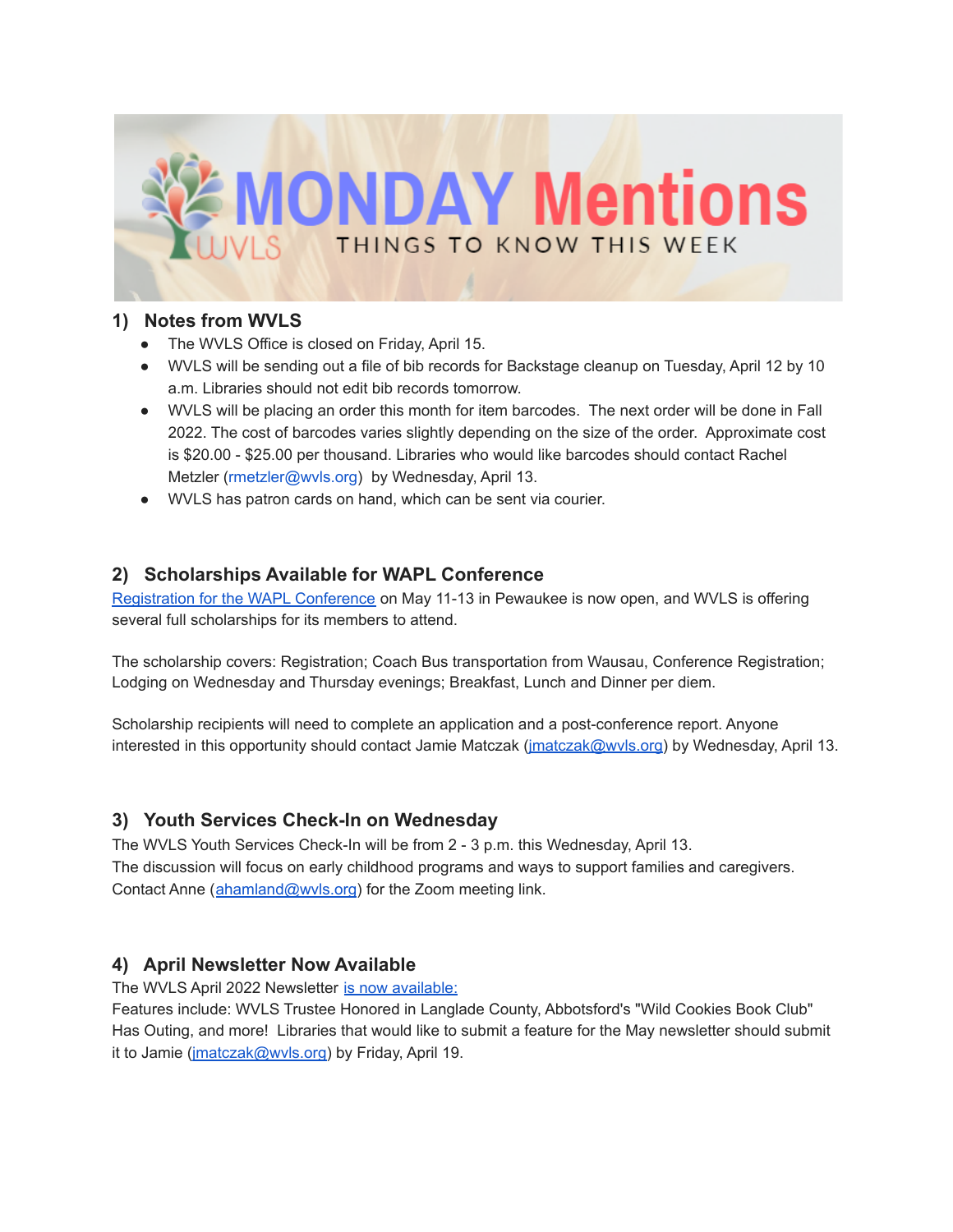

### **1) Notes from WVLS**

- The WVLS Office is closed on Friday, April 15.
- WVLS will be sending out a file of bib records for Backstage cleanup on Tuesday, April 12 by 10 a.m. Libraries should not edit bib records tomorrow.
- WVLS will be placing an order this month for item barcodes. The next order will be done in Fall 2022. The cost of barcodes varies slightly depending on the size of the order. Approximate cost is \$20.00 - \$25.00 per thousand. Libraries who would like barcodes should contact Rachel Metzler ([rmetzler@wvls.org\)](mailto:rmetzler@wvls.org) by Wednesday, April 13.
- WVLS has patron cards on hand, which can be sent via courier.

# **2) Scholarships Available for WAPL Conference**

[Registration](https://whova.com/web/waala_202204/) for the WAPL Conference on May 11-13 in Pewaukee is now open, and WVLS is offering several full scholarships for its members to attend.

The scholarship covers: Registration; Coach Bus transportation from Wausau, Conference Registration; Lodging on Wednesday and Thursday evenings; Breakfast, Lunch and Dinner per diem.

Scholarship recipients will need to complete an application and a post-conference report. Anyone interested in this opportunity should contact Jamie Matczak (*[jmatczak@wvls.org](mailto:jmatczak@wvls.org)*) by Wednesday, April 13.

# **3) Youth Services Check-In on Wednesday**

The WVLS Youth Services Check-In will be from 2 - 3 p.m. this Wednesday, April 13. The discussion will focus on early childhood programs and ways to support families and caregivers. Contact Anne ([ahamland@wvls.org](mailto:ahamland@wvls.org)) for the Zoom meeting link.

# **4) April Newsletter Now Available**

The WVLS April 2022 Newsletter is now [available:](https://mailchi.mp/de6285f60844/wvls-april22-newsletter-6061369)

Features include: WVLS Trustee Honored in Langlade County, Abbotsford's "Wild Cookies Book Club" Has Outing, and more! Libraries that would like to submit a feature for the May newsletter should submit it to Jamie (*jmatczak@wvls.org*) by Friday, April 19.